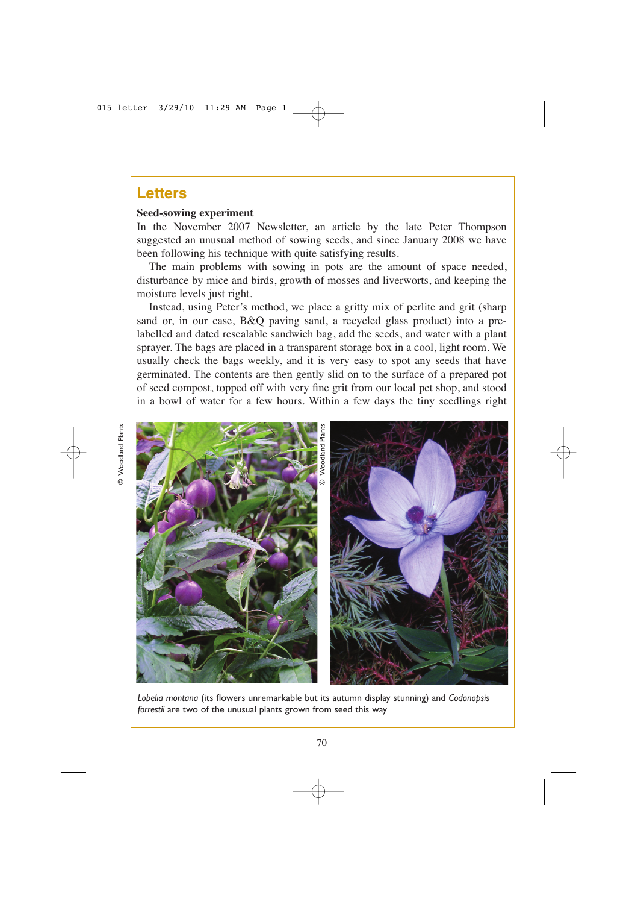## **Letters**

## **Seed-sowing experiment**

In the November 2007 Newsletter, an article by the late Peter Thompson suggested an unusual method of sowing seeds, and since January 2008 we have been following his technique with quite satisfying results.

The main problems with sowing in pots are the amount of space needed, disturbance by mice and birds, growth of mosses and liverworts, and keeping the moisture levels just right.

Instead, using Peter's method, we place a gritty mix of perlite and grit (sharp sand or, in our case, B&Q paving sand, a recycled glass product) into a prelabelled and dated resealable sandwich bag, add the seeds, and water with a plant sprayer. The bags are placed in a transparent storage box in a cool, light room. We usually check the bags weekly, and it is very easy to spot any seeds that have germinated. The contents are then gently slid on to the surface of a prepared pot of seed compost, topped off with very fine grit from our local pet shop, and stood in a bowl of water for a few hours. Within a few days the tiny seedlings right



*Lobelia montana* (its flowers unremarkable but its autumn display stunning) and *Codonopsis*